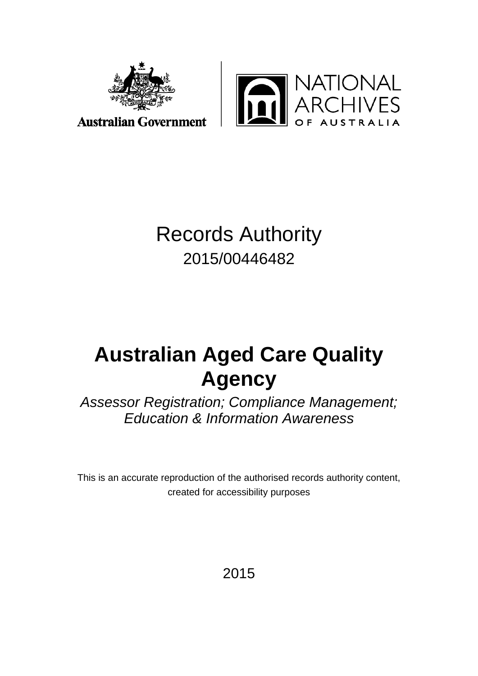



**Australian Government** 

# Records Authority 2015/00446482

# **Australian Aged Care Quality Agency**

*Assessor Registration; Compliance Management; Education & Information Awareness*

This is an accurate reproduction of the authorised records authority content, created for accessibility purposes

2015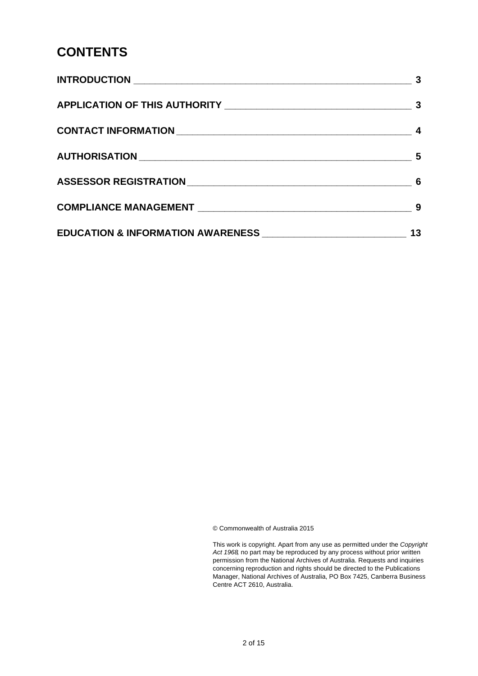# **CONTENTS**

|                                                              | 3  |
|--------------------------------------------------------------|----|
|                                                              | -3 |
|                                                              |    |
|                                                              |    |
|                                                              |    |
|                                                              |    |
| EDUCATION & INFORMATION AWARENESS __________________________ | 13 |

© Commonwealth of Australia 2015

This work is copyright. Apart from any use as permitted under the *Copyright Act 1968,* no part may be reproduced by any process without prior written permission from the National Archives of Australia. Requests and inquiries concerning reproduction and rights should be directed to the Publications Manager, National Archives of Australia, PO Box 7425, Canberra Business Centre ACT 2610, Australia.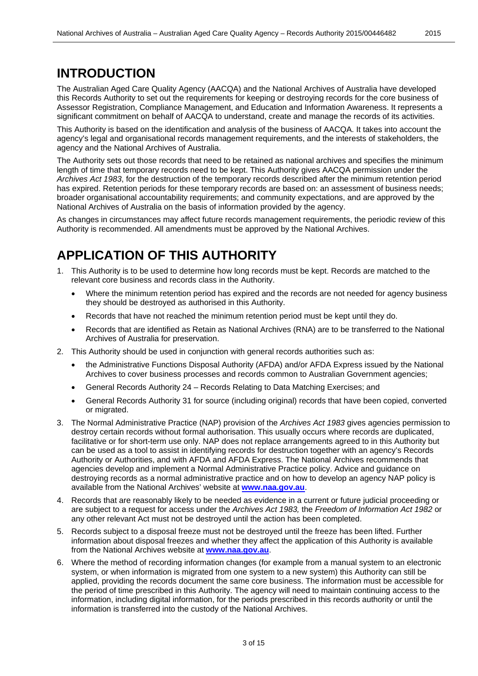### <span id="page-2-0"></span>**INTRODUCTION**

The Australian Aged Care Quality Agency (AACQA) and the National Archives of Australia have developed this Records Authority to set out the requirements for keeping or destroying records for the core business of Assessor Registration, Compliance Management, and Education and Information Awareness. It represents a significant commitment on behalf of AACQA to understand, create and manage the records of its activities.

This Authority is based on the identification and analysis of the business of AACQA. It takes into account the agency's legal and organisational records management requirements, and the interests of stakeholders, the agency and the National Archives of Australia.

The Authority sets out those records that need to be retained as national archives and specifies the minimum length of time that temporary records need to be kept. This Authority gives AACQA permission under the *Archives Act 1983*, for the destruction of the temporary records described after the minimum retention period has expired. Retention periods for these temporary records are based on: an assessment of business needs; broader organisational accountability requirements; and community expectations, and are approved by the National Archives of Australia on the basis of information provided by the agency.

As changes in circumstances may affect future records management requirements, the periodic review of this Authority is recommended. All amendments must be approved by the National Archives.

# <span id="page-2-1"></span>**APPLICATION OF THIS AUTHORITY**

- 1. This Authority is to be used to determine how long records must be kept. Records are matched to the relevant core business and records class in the Authority.
	- Where the minimum retention period has expired and the records are not needed for agency business they should be destroyed as authorised in this Authority.
	- Records that have not reached the minimum retention period must be kept until they do.
	- Records that are identified as Retain as National Archives (RNA) are to be transferred to the National Archives of Australia for preservation.
- 2. This Authority should be used in conjunction with general records authorities such as:
	- the Administrative Functions Disposal Authority (AFDA) and/or AFDA Express issued by the National Archives to cover business processes and records common to Australian Government agencies;
	- General Records Authority 24 Records Relating to Data Matching Exercises; and
	- General Records Authority 31 for source (including original) records that have been copied, converted or migrated.
- 3. The Normal Administrative Practice (NAP) provision of the *Archives Act 1983* gives agencies permission to destroy certain records without formal authorisation. This usually occurs where records are duplicated, facilitative or for short-term use only. NAP does not replace arrangements agreed to in this Authority but can be used as a tool to assist in identifying records for destruction together with an agency's Records Authority or Authorities, and with AFDA and AFDA Express. The National Archives recommends that agencies develop and implement a Normal Administrative Practice policy. Advice and guidance on destroying records as a normal administrative practice and on how to develop an agency NAP policy is available from the National Archives' website at **[www.naa.gov.au](http://www.naa.gov.au/)**.
- 4. Records that are reasonably likely to be needed as evidence in a current or future judicial proceeding or are subject to a request for access under the *Archives Act 1983,* the *Freedom of Information Act 1982* or any other relevant Act must not be destroyed until the action has been completed.
- 5. Records subject to a disposal freeze must not be destroyed until the freeze has been lifted. Further information about disposal freezes and whether they affect the application of this Authority is available from the National Archives website at **[www.naa.gov.au](http://www.naa.gov.au/)**.
- 6. Where the method of recording information changes (for example from a manual system to an electronic system, or when information is migrated from one system to a new system) this Authority can still be applied, providing the records document the same core business. The information must be accessible for the period of time prescribed in this Authority. The agency will need to maintain continuing access to the information, including digital information, for the periods prescribed in this records authority or until the information is transferred into the custody of the National Archives.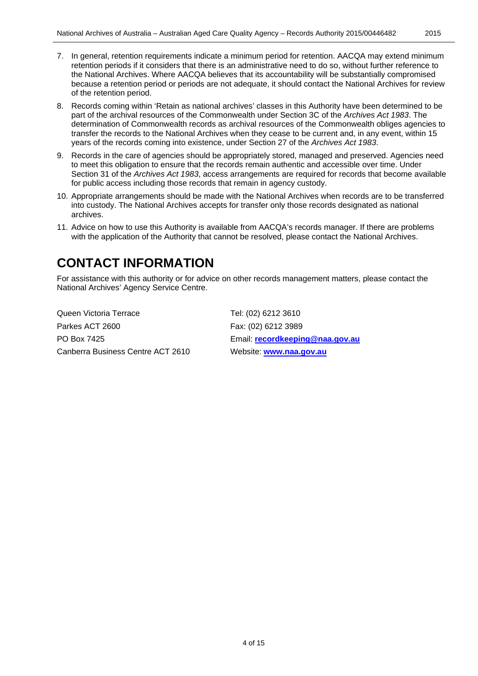- 7. In general, retention requirements indicate a minimum period for retention. AACQA may extend minimum retention periods if it considers that there is an administrative need to do so, without further reference to the National Archives. Where AACQA believes that its accountability will be substantially compromised because a retention period or periods are not adequate, it should contact the National Archives for review of the retention period.
- 8. Records coming within 'Retain as national archives' classes in this Authority have been determined to be part of the archival resources of the Commonwealth under Section 3C of the *Archives Act 1983*. The determination of Commonwealth records as archival resources of the Commonwealth obliges agencies to transfer the records to the National Archives when they cease to be current and, in any event, within 15 years of the records coming into existence, under Section 27 of the *Archives Act 1983*.
- 9. Records in the care of agencies should be appropriately stored, managed and preserved. Agencies need to meet this obligation to ensure that the records remain authentic and accessible over time. Under Section 31 of the *Archives Act 1983*, access arrangements are required for records that become available for public access including those records that remain in agency custody.
- 10. Appropriate arrangements should be made with the National Archives when records are to be transferred into custody. The National Archives accepts for transfer only those records designated as national archives.
- 11. Advice on how to use this Authority is available from AACQA's records manager. If there are problems with the application of the Authority that cannot be resolved, please contact the National Archives.

### <span id="page-3-0"></span>**CONTACT INFORMATION**

For assistance with this authority or for advice on other records management matters, please contact the National Archives' Agency Service Centre.

Queen Victoria Terrace Tel: (02) 6212 3610 Parkes ACT 2600 Fax: (02) 6212 3989 PO Box 7425 Email: **[recordkeeping@naa.gov.au](mailto:recordkeeping@naa.gov.au)** Canberra Business Centre ACT 2610 Website: **[www.naa.gov.au](http://www.naa.gov.au/)**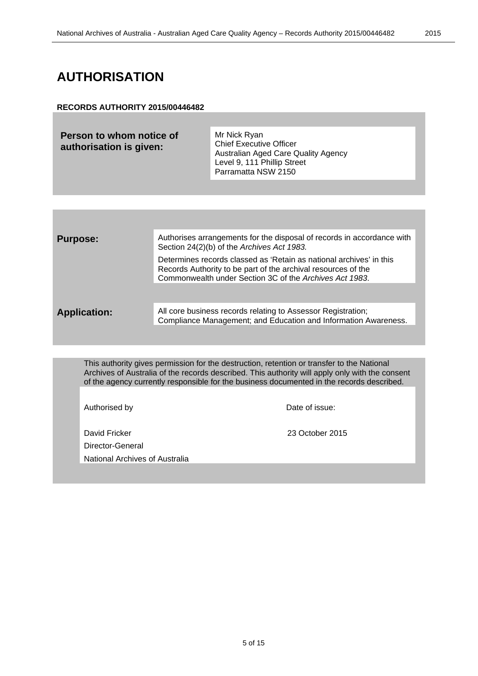### <span id="page-4-0"></span>**AUTHORISATION**

#### **RECORDS AUTHORITY 2015/00446482**

| Person to whom notice of<br>authorisation is given: | Mr Nick Ryan<br><b>Chief Executive Officer</b><br>Australian Aged Care Quality Agency<br>Level 9, 111 Phillip Street |
|-----------------------------------------------------|----------------------------------------------------------------------------------------------------------------------|
|                                                     | Parramatta NSW 2150                                                                                                  |

| <b>Purpose:</b>                | Authorises arrangements for the disposal of records in accordance with<br>Section 24(2)(b) of the Archives Act 1983.<br>Determines records classed as 'Retain as national archives' in this<br>Records Authority to be part of the archival resources of the<br>Commonwealth under Section 3C of the Archives Act 1983. |
|--------------------------------|-------------------------------------------------------------------------------------------------------------------------------------------------------------------------------------------------------------------------------------------------------------------------------------------------------------------------|
| <b>Application:</b>            | All core business records relating to Assessor Registration;<br>Compliance Management; and Education and Information Awareness.                                                                                                                                                                                         |
|                                |                                                                                                                                                                                                                                                                                                                         |
|                                | This authority gives permission for the destruction, retention or transfer to the National<br>Archives of Australia of the records described. This authority will apply only with the consent<br>of the agency currently responsible for the business documented in the records described.                              |
| Authorised by                  | Date of issue:                                                                                                                                                                                                                                                                                                          |
| David Fricker                  | 23 October 2015                                                                                                                                                                                                                                                                                                         |
| Director-General               |                                                                                                                                                                                                                                                                                                                         |
| National Archives of Australia |                                                                                                                                                                                                                                                                                                                         |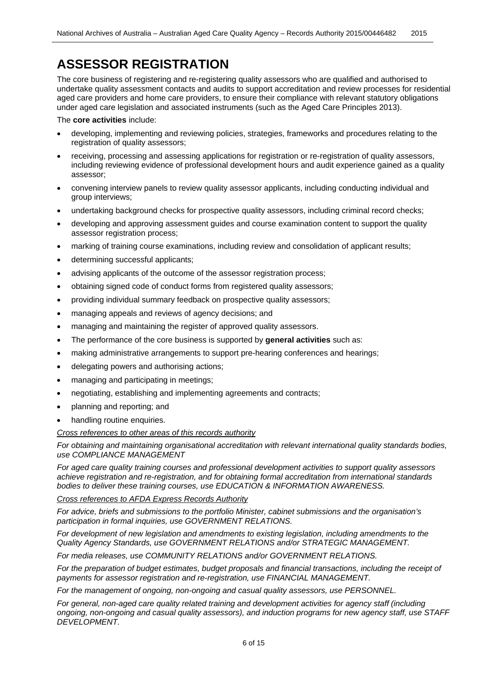# <span id="page-5-0"></span>**ASSESSOR REGISTRATION**

The core business of registering and re-registering quality assessors who are qualified and authorised to undertake quality assessment contacts and audits to support accreditation and review processes for residential aged care providers and home care providers, to ensure their compliance with relevant statutory obligations under aged care legislation and associated instruments (such as the Aged Care Principles 2013).

The **core activities** include:

- developing, implementing and reviewing policies, strategies, frameworks and procedures relating to the registration of quality assessors;
- receiving, processing and assessing applications for registration or re-registration of quality assessors, including reviewing evidence of professional development hours and audit experience gained as a quality assessor;
- convening interview panels to review quality assessor applicants, including conducting individual and group interviews;
- undertaking background checks for prospective quality assessors, including criminal record checks;
- developing and approving assessment guides and course examination content to support the quality assessor registration process;
- marking of training course examinations, including review and consolidation of applicant results;
- determining successful applicants;
- advising applicants of the outcome of the assessor registration process;
- obtaining signed code of conduct forms from registered quality assessors;
- providing individual summary feedback on prospective quality assessors;
- managing appeals and reviews of agency decisions; and
- managing and maintaining the register of approved quality assessors.
- The performance of the core business is supported by **general activities** such as:
- making administrative arrangements to support pre-hearing conferences and hearings;
- delegating powers and authorising actions;
- managing and participating in meetings;
- negotiating, establishing and implementing agreements and contracts;
- planning and reporting; and
- handling routine enquiries.

#### *Cross references to other areas of this records authority*

*For obtaining and maintaining organisational accreditation with relevant international quality standards bodies, use COMPLIANCE MANAGEMENT*

*For aged care quality training courses and professional development activities to support quality assessors achieve registration and re-registration, and for obtaining formal accreditation from international standards bodies to deliver these training courses, use EDUCATION & INFORMATION AWARENESS.*

*Cross references to AFDA Express Records Authority*

*For advice, briefs and submissions to the portfolio Minister, cabinet submissions and the organisation's participation in formal inquiries, use GOVERNMENT RELATIONS.*

*For development of new legislation and amendments to existing legislation, including amendments to the Quality Agency Standards, use GOVERNMENT RELATIONS and/or STRATEGIC MANAGEMENT.*

*For media releases, use COMMUNITY RELATIONS and/or GOVERNMENT RELATIONS.*

For the preparation of budget estimates, budget proposals and financial transactions, including the receipt of *payments for assessor registration and re-registration, use FINANCIAL MANAGEMENT.*

*For the management of ongoing, non-ongoing and casual quality assessors, use PERSONNEL.*

*For general, non-aged care quality related training and development activities for agency staff (including ongoing, non-ongoing and casual quality assessors), and induction programs for new agency staff, use STAFF DEVELOPMENT.*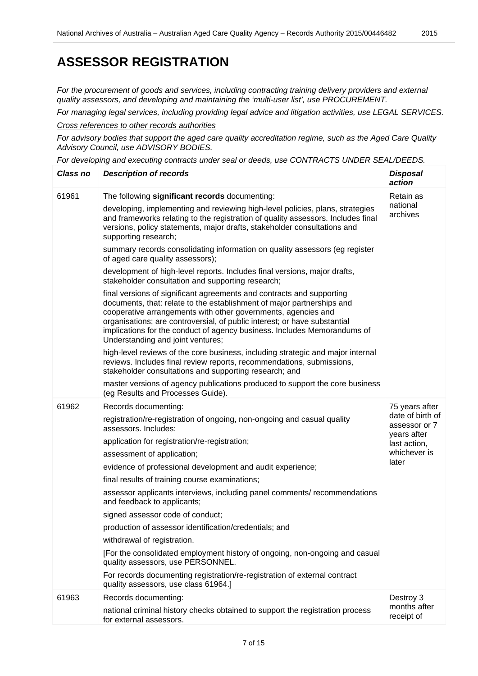*For the procurement of goods and services, including contracting training delivery providers and external quality assessors, and developing and maintaining the 'multi-user list', use PROCUREMENT.*

*For managing legal services, including providing legal advice and litigation activities, use LEGAL SERVICES.*

*Cross references to other records authorities*

*For advisory bodies that support the aged care quality accreditation regime, such as the Aged Care Quality Advisory Council, use ADVISORY BODIES.*

*For developing and executing contracts under seal or deeds, use CONTRACTS UNDER SEAL/DEEDS.*

| <b>Class no</b> | <b>Description of records</b>                                                                                                                                                                                                                                                                                                                                                                                  | <b>Disposal</b><br>action                        |
|-----------------|----------------------------------------------------------------------------------------------------------------------------------------------------------------------------------------------------------------------------------------------------------------------------------------------------------------------------------------------------------------------------------------------------------------|--------------------------------------------------|
| 61961           | The following significant records documenting:                                                                                                                                                                                                                                                                                                                                                                 | Retain as                                        |
|                 | developing, implementing and reviewing high-level policies, plans, strategies<br>and frameworks relating to the registration of quality assessors. Includes final<br>versions, policy statements, major drafts, stakeholder consultations and<br>supporting research;                                                                                                                                          | national<br>archives                             |
|                 | summary records consolidating information on quality assessors (eg register<br>of aged care quality assessors);                                                                                                                                                                                                                                                                                                |                                                  |
|                 | development of high-level reports. Includes final versions, major drafts,<br>stakeholder consultation and supporting research;                                                                                                                                                                                                                                                                                 |                                                  |
|                 | final versions of significant agreements and contracts and supporting<br>documents, that: relate to the establishment of major partnerships and<br>cooperative arrangements with other governments, agencies and<br>organisations; are controversial, of public interest; or have substantial<br>implications for the conduct of agency business. Includes Memorandums of<br>Understanding and joint ventures; |                                                  |
|                 | high-level reviews of the core business, including strategic and major internal<br>reviews. Includes final review reports, recommendations, submissions,<br>stakeholder consultations and supporting research; and                                                                                                                                                                                             |                                                  |
|                 | master versions of agency publications produced to support the core business<br>(eg Results and Processes Guide).                                                                                                                                                                                                                                                                                              |                                                  |
| 61962           | Records documenting:                                                                                                                                                                                                                                                                                                                                                                                           | 75 years after                                   |
|                 | registration/re-registration of ongoing, non-ongoing and casual quality<br>assessors. Includes:                                                                                                                                                                                                                                                                                                                | date of birth of<br>assessor or 7<br>years after |
|                 | application for registration/re-registration;                                                                                                                                                                                                                                                                                                                                                                  | last action,                                     |
|                 | assessment of application;                                                                                                                                                                                                                                                                                                                                                                                     | whichever is                                     |
|                 | evidence of professional development and audit experience;                                                                                                                                                                                                                                                                                                                                                     | later                                            |
|                 | final results of training course examinations;                                                                                                                                                                                                                                                                                                                                                                 |                                                  |
|                 | assessor applicants interviews, including panel comments/ recommendations<br>and feedback to applicants;                                                                                                                                                                                                                                                                                                       |                                                  |
|                 | signed assessor code of conduct;                                                                                                                                                                                                                                                                                                                                                                               |                                                  |
|                 | production of assessor identification/credentials; and                                                                                                                                                                                                                                                                                                                                                         |                                                  |
|                 | withdrawal of registration.                                                                                                                                                                                                                                                                                                                                                                                    |                                                  |
|                 | [For the consolidated employment history of ongoing, non-ongoing and casual<br>quality assessors, use PERSONNEL.                                                                                                                                                                                                                                                                                               |                                                  |
|                 | For records documenting registration/re-registration of external contract<br>quality assessors, use class 61964.]                                                                                                                                                                                                                                                                                              |                                                  |
| 61963           | Records documenting:                                                                                                                                                                                                                                                                                                                                                                                           | Destroy 3                                        |
|                 | national criminal history checks obtained to support the registration process<br>for external assessors.                                                                                                                                                                                                                                                                                                       | months after<br>receipt of                       |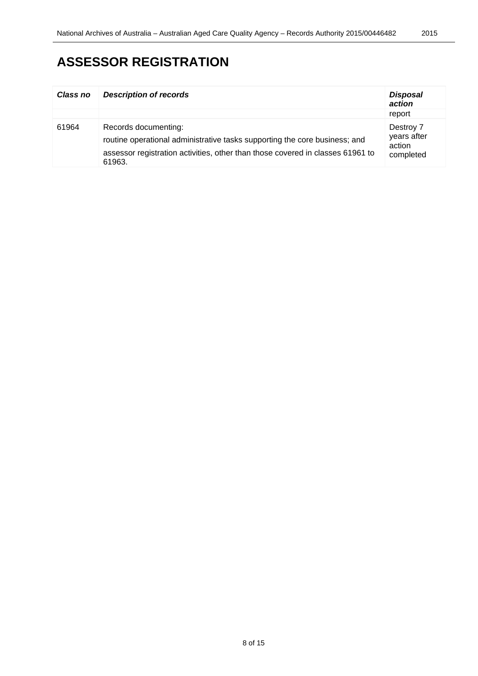# **ASSESSOR REGISTRATION**

| <b>Class no</b> | <b>Description of records</b>                                                                                                                                                                  | <b>Disposal</b><br>action                       |
|-----------------|------------------------------------------------------------------------------------------------------------------------------------------------------------------------------------------------|-------------------------------------------------|
|                 |                                                                                                                                                                                                | report                                          |
| 61964           | Records documenting:<br>routine operational administrative tasks supporting the core business; and<br>assessor registration activities, other than those covered in classes 61961 to<br>61963. | Destroy 7<br>years after<br>action<br>completed |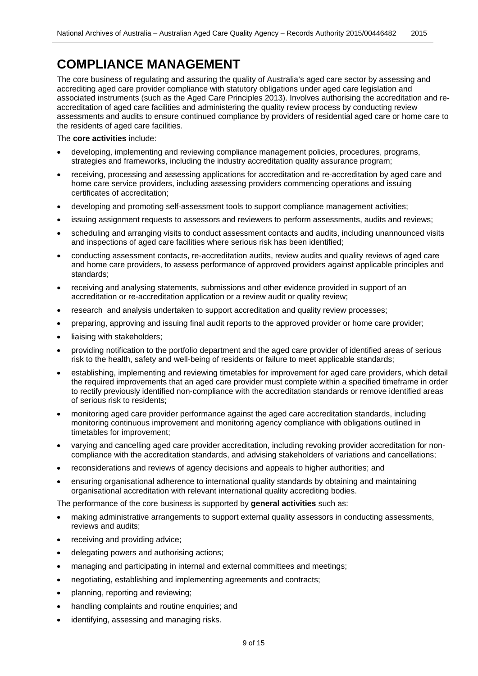<span id="page-8-0"></span>The core business of regulating and assuring the quality of Australia's aged care sector by assessing and accrediting aged care provider compliance with statutory obligations under aged care legislation and associated instruments (such as the Aged Care Principles 2013). Involves authorising the accreditation and reaccreditation of aged care facilities and administering the quality review process by conducting review assessments and audits to ensure continued compliance by providers of residential aged care or home care to the residents of aged care facilities.

The **core activities** include:

- developing, implementing and reviewing compliance management policies, procedures, programs, strategies and frameworks, including the industry accreditation quality assurance program;
- receiving, processing and assessing applications for accreditation and re-accreditation by aged care and home care service providers, including assessing providers commencing operations and issuing certificates of accreditation;
- developing and promoting self-assessment tools to support compliance management activities;
- issuing assignment requests to assessors and reviewers to perform assessments, audits and reviews;
- scheduling and arranging visits to conduct assessment contacts and audits, including unannounced visits and inspections of aged care facilities where serious risk has been identified;
- conducting assessment contacts, re-accreditation audits, review audits and quality reviews of aged care and home care providers, to assess performance of approved providers against applicable principles and standards;
- receiving and analysing statements, submissions and other evidence provided in support of an accreditation or re-accreditation application or a review audit or quality review;
- research and analysis undertaken to support accreditation and quality review processes;
- preparing, approving and issuing final audit reports to the approved provider or home care provider;
- liaising with stakeholders;
- providing notification to the portfolio department and the aged care provider of identified areas of serious risk to the health, safety and well-being of residents or failure to meet applicable standards;
- establishing, implementing and reviewing timetables for improvement for aged care providers, which detail the required improvements that an aged care provider must complete within a specified timeframe in order to rectify previously identified non-compliance with the accreditation standards or remove identified areas of serious risk to residents;
- monitoring aged care provider performance against the aged care accreditation standards, including monitoring continuous improvement and monitoring agency compliance with obligations outlined in timetables for improvement;
- varying and cancelling aged care provider accreditation, including revoking provider accreditation for noncompliance with the accreditation standards, and advising stakeholders of variations and cancellations;
- reconsiderations and reviews of agency decisions and appeals to higher authorities; and
- ensuring organisational adherence to international quality standards by obtaining and maintaining organisational accreditation with relevant international quality accrediting bodies.

The performance of the core business is supported by **general activities** such as:

- making administrative arrangements to support external quality assessors in conducting assessments, reviews and audits;
- receiving and providing advice;
- delegating powers and authorising actions;
- managing and participating in internal and external committees and meetings;
- negotiating, establishing and implementing agreements and contracts;
- planning, reporting and reviewing;
- handling complaints and routine enquiries; and
- identifying, assessing and managing risks.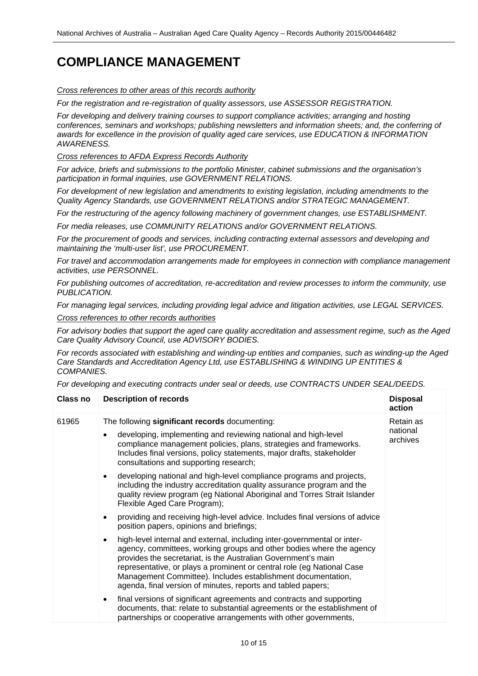*Cross references to other areas of this records authority*

*For the registration and re-registration of quality assessors, use ASSESSOR REGISTRATION.*

*For developing and delivery training courses to support compliance activities; arranging and hosting conferences, seminars and workshops; publishing newsletters and information sheets; and, the conferring of awards for excellence in the provision of quality aged care services, use EDUCATION & INFORMATION AWARENESS.*

*Cross references to AFDA Express Records Authority*

*For advice, briefs and submissions to the portfolio Minister, cabinet submissions and the organisation's participation in formal inquiries, use GOVERNMENT RELATIONS.*

*For development of new legislation and amendments to existing legislation, including amendments to the Quality Agency Standards, use GOVERNMENT RELATIONS and/or STRATEGIC MANAGEMENT.*

*For the restructuring of the agency following machinery of government changes, use ESTABLISHMENT.* 

*For media releases, use COMMUNITY RELATIONS and/or GOVERNMENT RELATIONS.*

*For the procurement of goods and services, including contracting external assessors and developing and maintaining the 'multi-user list', use PROCUREMENT.*

*For travel and accommodation arrangements made for employees in connection with compliance management activities, use PERSONNEL.*

*For publishing outcomes of accreditation, re-accreditation and review processes to inform the community, use PUBLICATION.*

*For managing legal services, including providing legal advice and litigation activities, use LEGAL SERVICES.*

*Cross references to other records authorities*

*For advisory bodies that support the aged care quality accreditation and assessment regime, such as the Aged Care Quality Advisory Council, use ADVISORY BODIES.*

*For records associated with establishing and winding-up entities and companies, such as winding-up the Aged Care Standards and Accreditation Agency Ltd, use ESTABLISHING & WINDING UP ENTITIES & COMPANIES.*

*For developing and executing contracts under seal or deeds, use CONTRACTS UNDER SEAL/DEEDS.*

| <b>Class no</b> | <b>Description of records</b>                                                                                                                                                                                                                                                                                                                                                                                                            | <b>Disposal</b><br>action         |
|-----------------|------------------------------------------------------------------------------------------------------------------------------------------------------------------------------------------------------------------------------------------------------------------------------------------------------------------------------------------------------------------------------------------------------------------------------------------|-----------------------------------|
| 61965           | The following significant records documenting:<br>developing, implementing and reviewing national and high-level<br>$\bullet$<br>compliance management policies, plans, strategies and frameworks.<br>Includes final versions, policy statements, major drafts, stakeholder<br>consultations and supporting research;                                                                                                                    | Retain as<br>national<br>archives |
|                 | developing national and high-level compliance programs and projects,<br>including the industry accreditation quality assurance program and the<br>quality review program (eg National Aboriginal and Torres Strait Islander<br>Flexible Aged Care Program);                                                                                                                                                                              |                                   |
|                 | providing and receiving high-level advice. Includes final versions of advice<br>$\bullet$<br>position papers, opinions and briefings;                                                                                                                                                                                                                                                                                                    |                                   |
|                 | high-level internal and external, including inter-governmental or inter-<br>$\bullet$<br>agency, committees, working groups and other bodies where the agency<br>provides the secretariat, is the Australian Government's main<br>representative, or plays a prominent or central role (eg National Case<br>Management Committee). Includes establishment documentation,<br>agenda, final version of minutes, reports and tabled papers; |                                   |
|                 | final versions of significant agreements and contracts and supporting<br>documents, that: relate to substantial agreements or the establishment of<br>partnerships or cooperative arrangements with other governments,                                                                                                                                                                                                                   |                                   |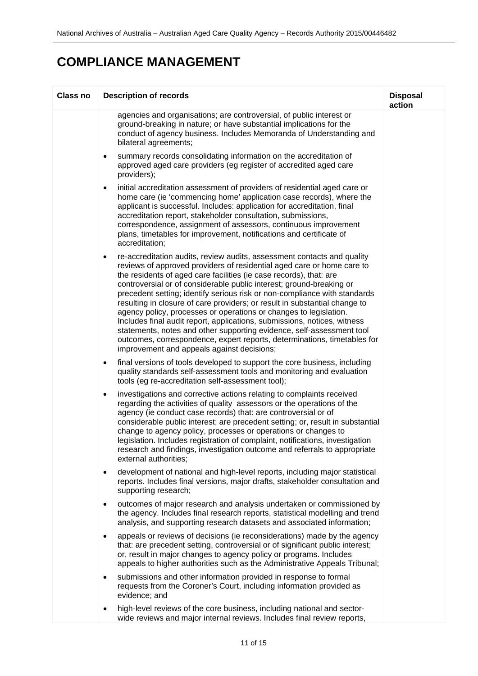| <b>Class no</b> | <b>Description of records</b>                                                                                                                                                                                                                                                                                                                                                                                                                                                                                                                                                                                                                                                                                                                                                                                       | <b>Disposal</b><br>action |
|-----------------|---------------------------------------------------------------------------------------------------------------------------------------------------------------------------------------------------------------------------------------------------------------------------------------------------------------------------------------------------------------------------------------------------------------------------------------------------------------------------------------------------------------------------------------------------------------------------------------------------------------------------------------------------------------------------------------------------------------------------------------------------------------------------------------------------------------------|---------------------------|
|                 | agencies and organisations; are controversial, of public interest or<br>ground-breaking in nature; or have substantial implications for the<br>conduct of agency business. Includes Memoranda of Understanding and<br>bilateral agreements;                                                                                                                                                                                                                                                                                                                                                                                                                                                                                                                                                                         |                           |
|                 | summary records consolidating information on the accreditation of<br>٠<br>approved aged care providers (eg register of accredited aged care<br>providers);                                                                                                                                                                                                                                                                                                                                                                                                                                                                                                                                                                                                                                                          |                           |
|                 | initial accreditation assessment of providers of residential aged care or<br>٠<br>home care (ie 'commencing home' application case records), where the<br>applicant is successful. Includes: application for accreditation, final<br>accreditation report, stakeholder consultation, submissions,<br>correspondence, assignment of assessors, continuous improvement<br>plans, timetables for improvement, notifications and certificate of<br>accreditation;                                                                                                                                                                                                                                                                                                                                                       |                           |
|                 | re-accreditation audits, review audits, assessment contacts and quality<br>٠<br>reviews of approved providers of residential aged care or home care to<br>the residents of aged care facilities (ie case records), that: are<br>controversial or of considerable public interest; ground-breaking or<br>precedent setting; identify serious risk or non-compliance with standards<br>resulting in closure of care providers; or result in substantial change to<br>agency policy, processes or operations or changes to legislation.<br>Includes final audit report, applications, submissions, notices, witness<br>statements, notes and other supporting evidence, self-assessment tool<br>outcomes, correspondence, expert reports, determinations, timetables for<br>improvement and appeals against decisions; |                           |
|                 | final versions of tools developed to support the core business, including<br>٠<br>quality standards self-assessment tools and monitoring and evaluation<br>tools (eg re-accreditation self-assessment tool);                                                                                                                                                                                                                                                                                                                                                                                                                                                                                                                                                                                                        |                           |
|                 | investigations and corrective actions relating to complaints received<br>$\bullet$<br>regarding the activities of quality assessors or the operations of the<br>agency (ie conduct case records) that: are controversial or of<br>considerable public interest; are precedent setting; or, result in substantial<br>change to agency policy, processes or operations or changes to<br>legislation. Includes registration of complaint, notifications, investigation<br>research and findings, investigation outcome and referrals to appropriate<br>external authorities;                                                                                                                                                                                                                                           |                           |
|                 | development of national and high-level reports, including major statistical<br>$\bullet$<br>reports. Includes final versions, major drafts, stakeholder consultation and<br>supporting research;                                                                                                                                                                                                                                                                                                                                                                                                                                                                                                                                                                                                                    |                           |
|                 | outcomes of major research and analysis undertaken or commissioned by<br>٠<br>the agency. Includes final research reports, statistical modelling and trend<br>analysis, and supporting research datasets and associated information;                                                                                                                                                                                                                                                                                                                                                                                                                                                                                                                                                                                |                           |
|                 | appeals or reviews of decisions (ie reconsiderations) made by the agency<br>٠<br>that: are precedent setting, controversial or of significant public interest;<br>or, result in major changes to agency policy or programs. Includes<br>appeals to higher authorities such as the Administrative Appeals Tribunal;                                                                                                                                                                                                                                                                                                                                                                                                                                                                                                  |                           |
|                 | submissions and other information provided in response to formal<br>$\bullet$<br>requests from the Coroner's Court, including information provided as<br>evidence; and                                                                                                                                                                                                                                                                                                                                                                                                                                                                                                                                                                                                                                              |                           |
|                 | high-level reviews of the core business, including national and sector-<br>wide reviews and major internal reviews. Includes final review reports,                                                                                                                                                                                                                                                                                                                                                                                                                                                                                                                                                                                                                                                                  |                           |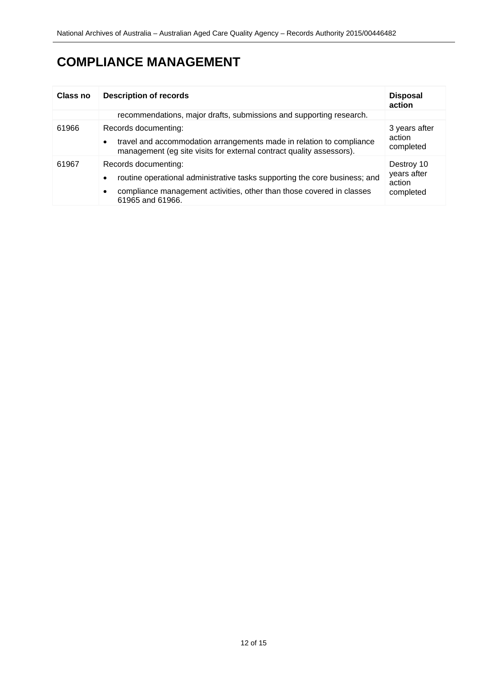| <b>Class no</b> | <b>Description of records</b>                                                                                                                                                                                             | <b>Disposal</b><br>action                        |
|-----------------|---------------------------------------------------------------------------------------------------------------------------------------------------------------------------------------------------------------------------|--------------------------------------------------|
|                 | recommendations, major drafts, submissions and supporting research.                                                                                                                                                       |                                                  |
| 61966           | Records documenting:<br>travel and accommodation arrangements made in relation to compliance<br>$\bullet$<br>management (eg site visits for external contract quality assessors).                                         | 3 years after<br>action<br>completed             |
| 61967           | Records documenting:<br>routine operational administrative tasks supporting the core business; and<br>$\bullet$<br>compliance management activities, other than those covered in classes<br>$\bullet$<br>61965 and 61966. | Destroy 10<br>years after<br>action<br>completed |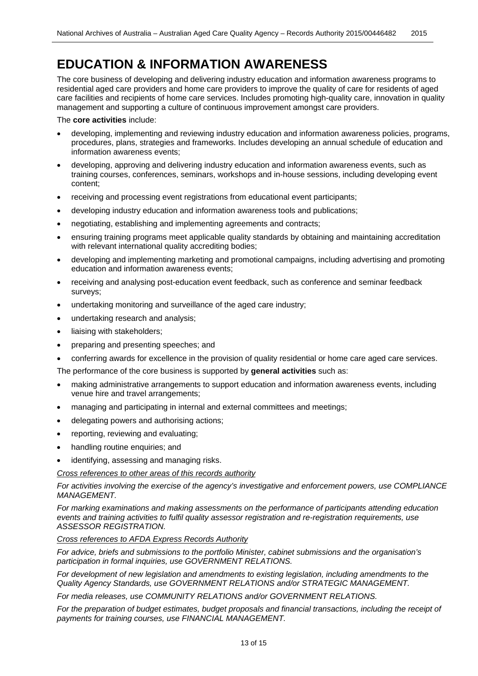## <span id="page-12-0"></span>**EDUCATION & INFORMATION AWARENESS**

The core business of developing and delivering industry education and information awareness programs to residential aged care providers and home care providers to improve the quality of care for residents of aged care facilities and recipients of home care services. Includes promoting high-quality care, innovation in quality management and supporting a culture of continuous improvement amongst care providers.

The **core activities** include:

- developing, implementing and reviewing industry education and information awareness policies, programs, procedures, plans, strategies and frameworks. Includes developing an annual schedule of education and information awareness events;
- developing, approving and delivering industry education and information awareness events, such as training courses, conferences, seminars, workshops and in-house sessions, including developing event content;
- receiving and processing event registrations from educational event participants;
- developing industry education and information awareness tools and publications;
- negotiating, establishing and implementing agreements and contracts;
- ensuring training programs meet applicable quality standards by obtaining and maintaining accreditation with relevant international quality accrediting bodies;
- developing and implementing marketing and promotional campaigns, including advertising and promoting education and information awareness events;
- receiving and analysing post-education event feedback, such as conference and seminar feedback surveys;
- undertaking monitoring and surveillance of the aged care industry;
- undertaking research and analysis;
- liaising with stakeholders;
- preparing and presenting speeches; and
- conferring awards for excellence in the provision of quality residential or home care aged care services.

The performance of the core business is supported by **general activities** such as:

- making administrative arrangements to support education and information awareness events, including venue hire and travel arrangements;
- managing and participating in internal and external committees and meetings;
- delegating powers and authorising actions;
- reporting, reviewing and evaluating;
- handling routine enquiries; and
- identifying, assessing and managing risks.

*Cross references to other areas of this records authority*

*For activities involving the exercise of the agency's investigative and enforcement powers, use COMPLIANCE MANAGEMENT.*

*For marking examinations and making assessments on the performance of participants attending education events and training activities to fulfil quality assessor registration and re-registration requirements, use ASSESSOR REGISTRATION.*

*Cross references to AFDA Express Records Authority*

*For advice, briefs and submissions to the portfolio Minister, cabinet submissions and the organisation's participation in formal inquiries, use GOVERNMENT RELATIONS.*

*For development of new legislation and amendments to existing legislation, including amendments to the Quality Agency Standards, use GOVERNMENT RELATIONS and/or STRATEGIC MANAGEMENT.*

*For media releases, use COMMUNITY RELATIONS and/or GOVERNMENT RELATIONS.*

For the preparation of budget estimates, budget proposals and financial transactions, including the receipt of *payments for training courses, use FINANCIAL MANAGEMENT.*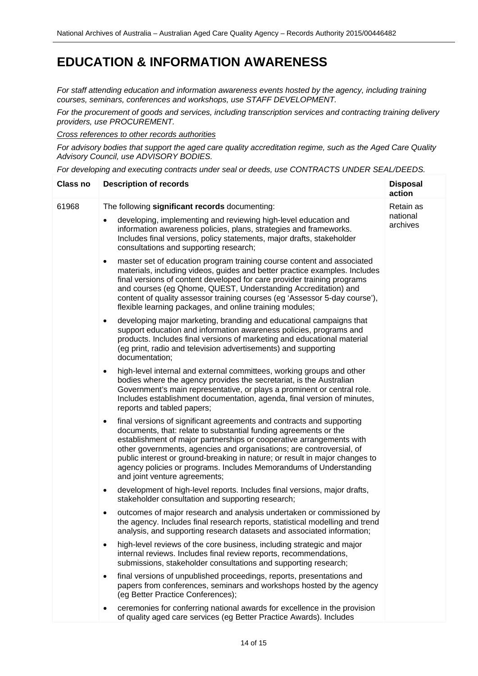### **EDUCATION & INFORMATION AWARENESS**

*For staff attending education and information awareness events hosted by the agency, including training courses, seminars, conferences and workshops, use STAFF DEVELOPMENT.*

*For the procurement of goods and services, including transcription services and contracting training delivery providers, use PROCUREMENT.*

*Cross references to other records authorities*

*For advisory bodies that support the aged care quality accreditation regime, such as the Aged Care Quality Advisory Council, use ADVISORY BODIES.*

*For developing and executing contracts under seal or deeds, use CONTRACTS UNDER SEAL/DEEDS.*

| <b>Class no</b> | <b>Description of records</b>                                                                                                                                                                                                                                                                                                                                                                                                                                                                | <b>Disposal</b><br>action |
|-----------------|----------------------------------------------------------------------------------------------------------------------------------------------------------------------------------------------------------------------------------------------------------------------------------------------------------------------------------------------------------------------------------------------------------------------------------------------------------------------------------------------|---------------------------|
| 61968           | The following significant records documenting:                                                                                                                                                                                                                                                                                                                                                                                                                                               | Retain as                 |
|                 | developing, implementing and reviewing high-level education and<br>$\bullet$<br>information awareness policies, plans, strategies and frameworks.<br>Includes final versions, policy statements, major drafts, stakeholder<br>consultations and supporting research;                                                                                                                                                                                                                         | national<br>archives      |
|                 | master set of education program training course content and associated<br>$\bullet$<br>materials, including videos, guides and better practice examples. Includes<br>final versions of content developed for care provider training programs<br>and courses (eg Qhome, QUEST, Understanding Accreditation) and<br>content of quality assessor training courses (eg 'Assessor 5-day course'),<br>flexible learning packages, and online training modules;                                     |                           |
|                 | developing major marketing, branding and educational campaigns that<br>$\bullet$<br>support education and information awareness policies, programs and<br>products. Includes final versions of marketing and educational material<br>(eg print, radio and television advertisements) and supporting<br>documentation;                                                                                                                                                                        |                           |
|                 | high-level internal and external committees, working groups and other<br>$\bullet$<br>bodies where the agency provides the secretariat, is the Australian<br>Government's main representative, or plays a prominent or central role.<br>Includes establishment documentation, agenda, final version of minutes,<br>reports and tabled papers;                                                                                                                                                |                           |
|                 | final versions of significant agreements and contracts and supporting<br>$\bullet$<br>documents, that: relate to substantial funding agreements or the<br>establishment of major partnerships or cooperative arrangements with<br>other governments, agencies and organisations; are controversial, of<br>public interest or ground-breaking in nature; or result in major changes to<br>agency policies or programs. Includes Memorandums of Understanding<br>and joint venture agreements; |                           |
|                 | development of high-level reports. Includes final versions, major drafts,<br>$\bullet$<br>stakeholder consultation and supporting research;                                                                                                                                                                                                                                                                                                                                                  |                           |
|                 | outcomes of major research and analysis undertaken or commissioned by<br>$\bullet$<br>the agency. Includes final research reports, statistical modelling and trend<br>analysis, and supporting research datasets and associated information;                                                                                                                                                                                                                                                 |                           |
|                 | high-level reviews of the core business, including strategic and major<br>internal reviews. Includes final review reports, recommendations,<br>submissions, stakeholder consultations and supporting research;                                                                                                                                                                                                                                                                               |                           |
|                 | final versions of unpublished proceedings, reports, presentations and<br>٠<br>papers from conferences, seminars and workshops hosted by the agency<br>(eg Better Practice Conferences);                                                                                                                                                                                                                                                                                                      |                           |
|                 | ceremonies for conferring national awards for excellence in the provision<br>of quality aged care services (eg Better Practice Awards). Includes                                                                                                                                                                                                                                                                                                                                             |                           |